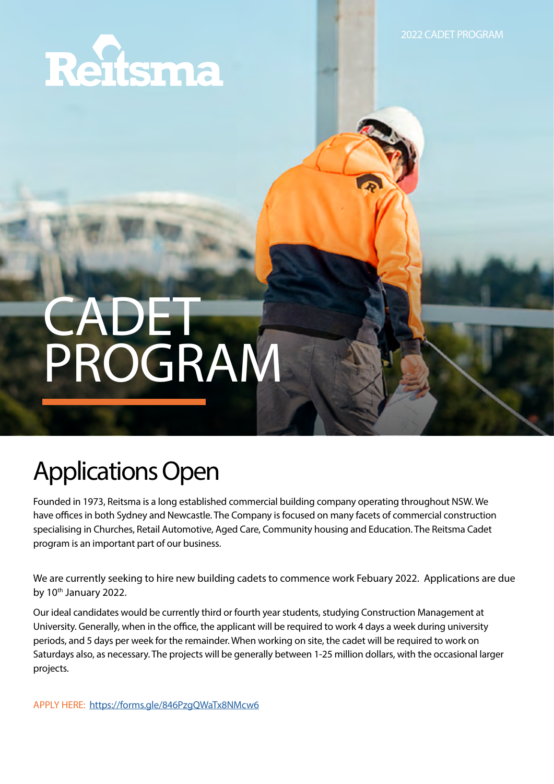

2022 CADET PROGRAM

# CADET PROGRAM

## Applications Open

Founded in 1973, Reitsma is a long established commercial building company operating throughout NSW. We have offices in both Sydney and Newcastle. The Company is focused on many facets of commercial construction specialising in Churches, Retail Automotive, Aged Care, Community housing and Education. The Reitsma Cadet program is an important part of our business.

We are currently seeking to hire new building cadets to commence work Febuary 2022. Applications are due by 10<sup>th</sup> January 2022.

Our ideal candidates would be currently third or fourth year students, studying Construction Management at University. Generally, when in the office, the applicant will be required to work 4 days a week during university periods, and 5 days per week for the remainder. When working on site, the cadet will be required to work on Saturdays also, as necessary. The projects will be generally between 1-25 million dollars, with the occasional larger projects.

APPLY HERE: <https://forms.gle/846PzgQWaTx8NMcw6>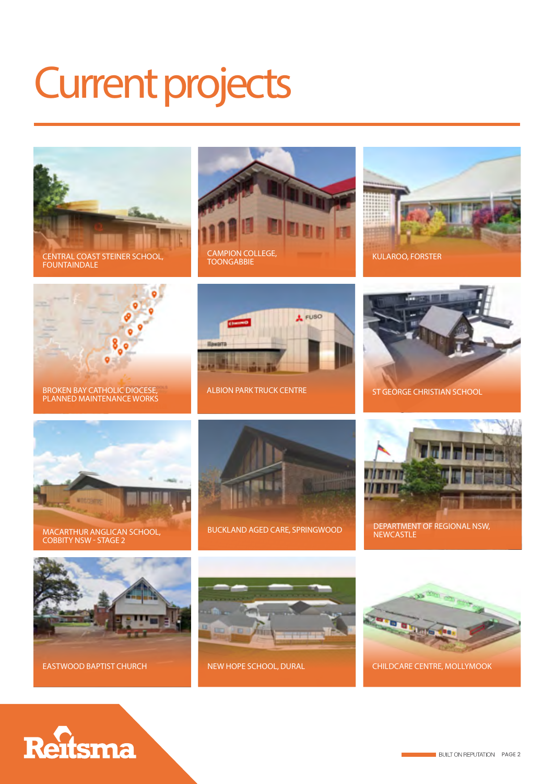## Current projects



CENTRAL COAST STEINER SCHOOL, FOUNTAINDALE







BROKEN BAY CATHOLIC DIOCESE, PLANNED MAINTENANCE WORKS



ALBION PARK TRUCK CENTRE ST GEORGE CHRISTIAN SCHOOL





MACARTHUR ANGLICAN SCHOOL, COBBITY NSW - STAGE 2



BUCKLAND AGED CARE, SPRINGWOOD





EASTWOOD BAPTIST CHURCH



NEW HOPE SCHOOL, DURAL



CHILDCARE CENTRE, MOLLYMOOK